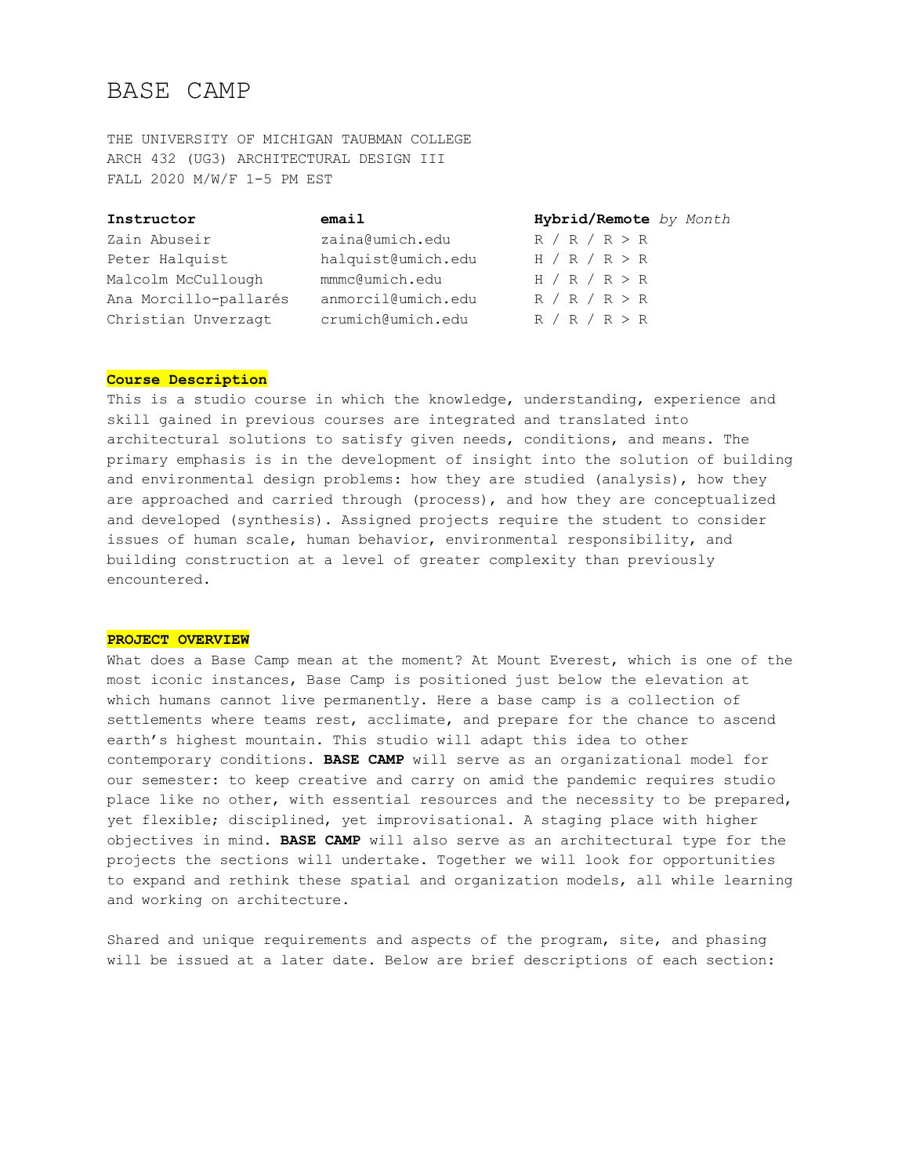# BASE CAMP

THE UNIVERSITY OF MICHIGAN TAUBMAN COLLEGE ARCH 432 (UG3) ARCHITECTURAL DESIGN III FALL 2020 M/W/F 1-5 PM EST

| Hybrid/Remote by Month |
|------------------------|
|                        |
|                        |
|                        |
|                        |
|                        |
|                        |

### **Course Description**

This is a studio course in which the knowledge, understanding, experience and skill gained in previous courses are integrated and translated into architectural solutions to satisfy given needs, conditions, and means. The primary emphasis is in the development of insight into the solution of building and environmental design problems: how they are studied (analysis), how they are approached and carried through (process), and how they are conceptualized and developed (synthesis). Assigned projects require the student to consider issues of human scale, human behavior, environmental responsibility, and building construction at a level of greater complexity than previously encountered.

### **PROJECT OVERVIEW**

What does a Base Camp mean at the moment? At Mount Everest, which is one of the most iconic instances, Base Camp is positioned just below the elevation at which humans cannot live permanently. Here a base camp is a collection of settlements where teams rest, acclimate, and prepare for the chance to ascend earth's highest mountain. This studio will adapt this idea to other contemporary conditions. **BASE CAMP** will serve as an organizational model for our semester: to keep creative and carry on amid the pandemic requires studio place like no other, with essential resources and the necessity to be prepared, yet flexible; disciplined, yet improvisational. A staging place with higher objectives in mind. **BASE CAMP** will also serve as an architectural type for the projects the sections will undertake. Together we will look for opportunities to expand and rethink these spatial and organization models, all while learning and working on architecture.

Shared and unique requirements and aspects of the program, site, and phasing will be issued at a later date. Below are brief descriptions of each section: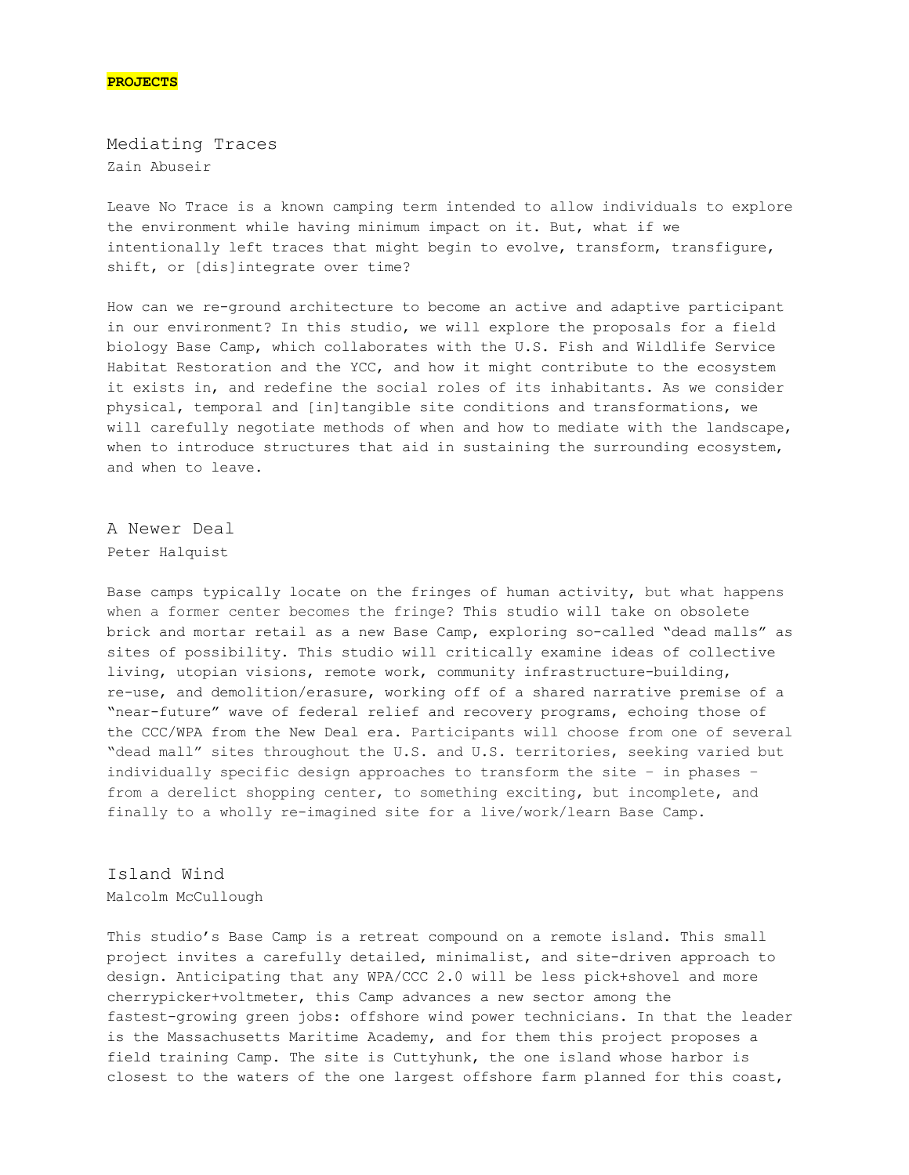### **PROJECTS**

Mediating Traces Zain Abuseir

Leave No Trace is a known camping term intended to allow individuals to explore the environment while having minimum impact on it. But, what if we intentionally left traces that might begin to evolve, transform, transfigure, shift, or [dis]integrate over time?

How can we re-ground architecture to become an active and adaptive participant in our environment? In this studio, we will explore the proposals for a field biology Base Camp, which collaborates with the U.S. Fish and Wildlife Service Habitat Restoration and the YCC, and how it might contribute to the ecosystem it exists in, and redefine the social roles of its inhabitants. As we consider physical, temporal and [in]tangible site conditions and transformations, we will carefully negotiate methods of when and how to mediate with the landscape, when to introduce structures that aid in sustaining the surrounding ecosystem, and when to leave.

A Newer Deal Peter Halquist

Base camps typically locate on the fringes of human activity, but what happens when a former center becomes the fringe? This studio will take on obsolete brick and mortar retail as a new Base Camp, exploring so-called "dead malls" as sites of possibility. This studio will critically examine ideas of collective living, utopian visions, remote work, community infrastructure-building, re-use, and demolition/erasure, working off of a shared narrative premise of a "near-future" wave of federal relief and recovery programs, echoing those of the CCC/WPA from the New Deal era. Participants will choose from one of several "dead mall" sites throughout the U.S. and U.S. territories, seeking varied but individually specific design approaches to transform the site – in phases – from a derelict shopping center, to something exciting, but incomplete, and finally to a wholly re-imagined site for a live/work/learn Base Camp.

Island Wind Malcolm McCullough

This studio's Base Camp is a retreat compound on a remote island. This small project invites a carefully detailed, minimalist, and site-driven approach to design. Anticipating that any WPA/CCC 2.0 will be less pick+shovel and more cherrypicker+voltmeter, this Camp advances a new sector among the fastest-growing green jobs: offshore wind power technicians. In that the leader is the Massachusetts Maritime Academy, and for them this project proposes a field training Camp. The site is Cuttyhunk, the one island whose harbor is closest to the waters of the one largest offshore farm planned for this coast,